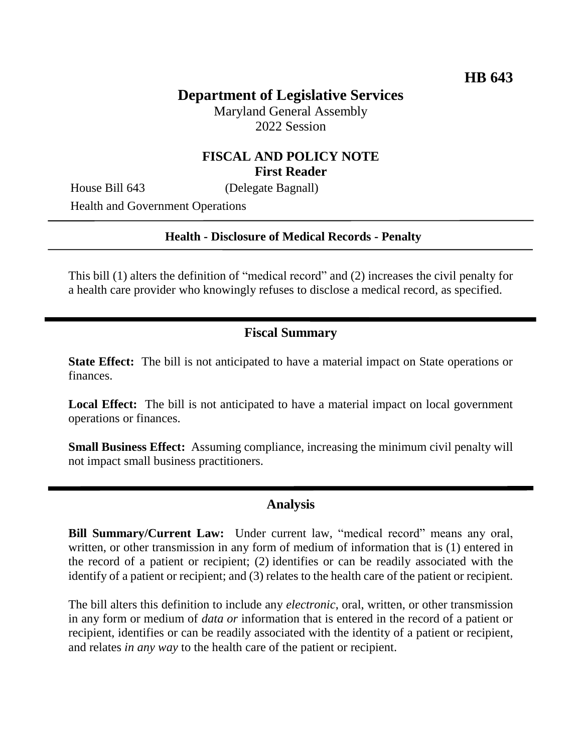# **Department of Legislative Services**

Maryland General Assembly 2022 Session

### **FISCAL AND POLICY NOTE First Reader**

House Bill 643 (Delegate Bagnall)

Health and Government Operations

#### **Health - Disclosure of Medical Records - Penalty**

This bill (1) alters the definition of "medical record" and (2) increases the civil penalty for a health care provider who knowingly refuses to disclose a medical record, as specified.

### **Fiscal Summary**

**State Effect:** The bill is not anticipated to have a material impact on State operations or finances.

**Local Effect:** The bill is not anticipated to have a material impact on local government operations or finances.

**Small Business Effect:** Assuming compliance, increasing the minimum civil penalty will not impact small business practitioners.

#### **Analysis**

**Bill Summary/Current Law:** Under current law, "medical record" means any oral, written, or other transmission in any form of medium of information that is (1) entered in the record of a patient or recipient; (2) identifies or can be readily associated with the identify of a patient or recipient; and (3) relates to the health care of the patient or recipient.

The bill alters this definition to include any *electronic*, oral, written, or other transmission in any form or medium of *data or* information that is entered in the record of a patient or recipient, identifies or can be readily associated with the identity of a patient or recipient, and relates *in any way* to the health care of the patient or recipient.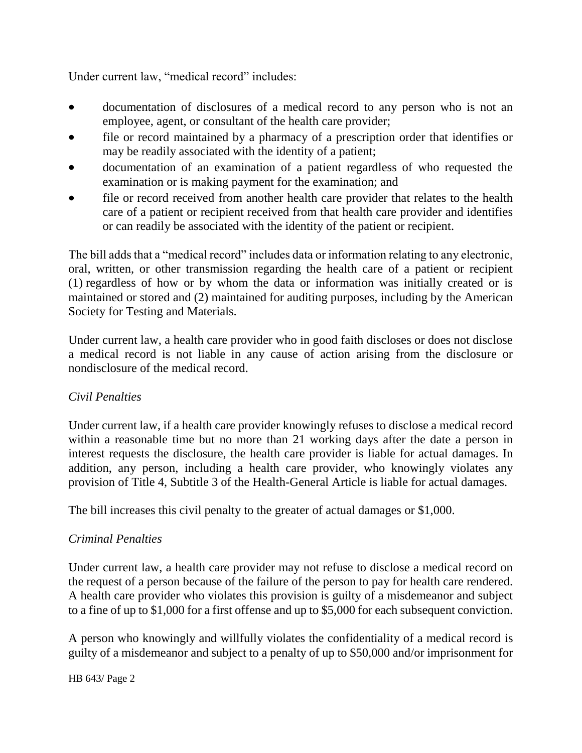Under current law, "medical record" includes:

- documentation of disclosures of a medical record to any person who is not an employee, agent, or consultant of the health care provider;
- file or record maintained by a pharmacy of a prescription order that identifies or may be readily associated with the identity of a patient;
- documentation of an examination of a patient regardless of who requested the examination or is making payment for the examination; and
- file or record received from another health care provider that relates to the health care of a patient or recipient received from that health care provider and identifies or can readily be associated with the identity of the patient or recipient.

The bill adds that a "medical record" includes data or information relating to any electronic, oral, written, or other transmission regarding the health care of a patient or recipient (1) regardless of how or by whom the data or information was initially created or is maintained or stored and (2) maintained for auditing purposes, including by the American Society for Testing and Materials.

Under current law, a health care provider who in good faith discloses or does not disclose a medical record is not liable in any cause of action arising from the disclosure or nondisclosure of the medical record.

### *Civil Penalties*

Under current law, if a health care provider knowingly refuses to disclose a medical record within a reasonable time but no more than 21 working days after the date a person in interest requests the disclosure, the health care provider is liable for actual damages. In addition, any person, including a health care provider, who knowingly violates any provision of Title 4, Subtitle 3 of the Health-General Article is liable for actual damages.

The bill increases this civil penalty to the greater of actual damages or \$1,000.

### *Criminal Penalties*

Under current law, a health care provider may not refuse to disclose a medical record on the request of a person because of the failure of the person to pay for health care rendered. A health care provider who violates this provision is guilty of a misdemeanor and subject to a fine of up to \$1,000 for a first offense and up to \$5,000 for each subsequent conviction.

A person who knowingly and willfully violates the confidentiality of a medical record is guilty of a misdemeanor and subject to a penalty of up to \$50,000 and/or imprisonment for